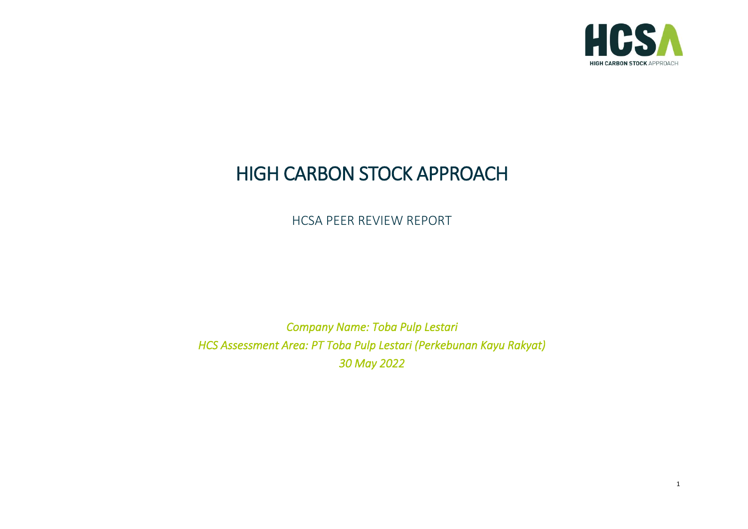

# HIGH CARBON STOCK APPROACH

HCSA PEER REVIEW REPORT

*Company Name: Toba Pulp Lestari HCS Assessment Area: PT Toba Pulp Lestari (Perkebunan Kayu Rakyat) 30 May 2022*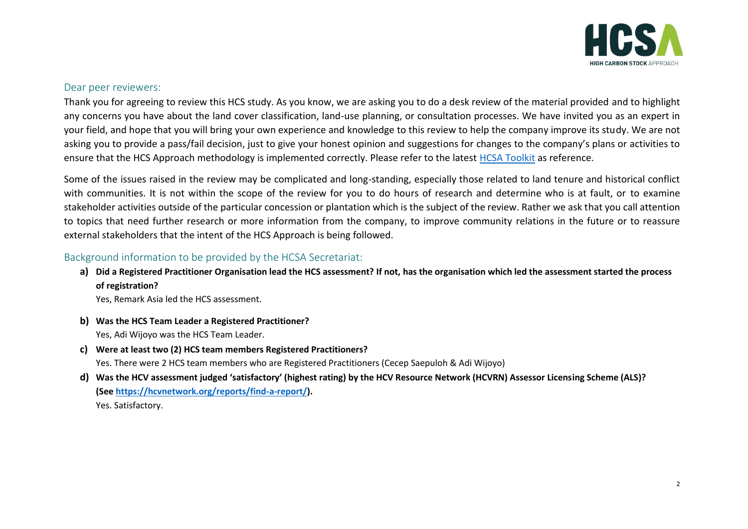

#### Dear peer reviewers:

Thank you for agreeing to review this HCS study. As you know, we are asking you to do a desk review of the material provided and to highlight any concerns you have about the land cover classification, land-use planning, or consultation processes. We have invited you as an expert in your field, and hope that you will bring your own experience and knowledge to this review to help the company improve its study. We are not asking you to provide a pass/fail decision, just to give your honest opinion and suggestions for changes to the company's plans or activities to ensure that the HCS Approach methodology is implemented correctly. Please refer to the latest [HCSA Toolkit](http://highcarbonstock.org/the-hcs-approach-toolkit/) as reference.

Some of the issues raised in the review may be complicated and long-standing, especially those related to land tenure and historical conflict with communities. It is not within the scope of the review for you to do hours of research and determine who is at fault, or to examine stakeholder activities outside of the particular concession or plantation which is the subject of the review. Rather we ask that you call attention to topics that need further research or more information from the company, to improve community relations in the future or to reassure external stakeholders that the intent of the HCS Approach is being followed.

# Background information to be provided by the HCSA Secretariat:

**a) Did a Registered Practitioner Organisation lead the HCS assessment? If not, has the organisation which led the assessment started the process of registration?** 

Yes, Remark Asia led the HCS assessment.

- **b) Was the HCS Team Leader a Registered Practitioner?** Yes, Adi Wijoyo was the HCS Team Leader.
- **c) Were at least two (2) HCS team members Registered Practitioners?** Yes. There were 2 HCS team members who are Registered Practitioners (Cecep Saepuloh & Adi Wijoyo)
- **d) Was the HCV assessment judged 'satisfactory' (highest rating) by the HCV Resource Network (HCVRN) Assessor Licensing Scheme (ALS)? (See [https://hcvnetwork.org/reports/find-a-report/\)](https://hcvnetwork.org/reports/find-a-report/).** Yes. Satisfactory.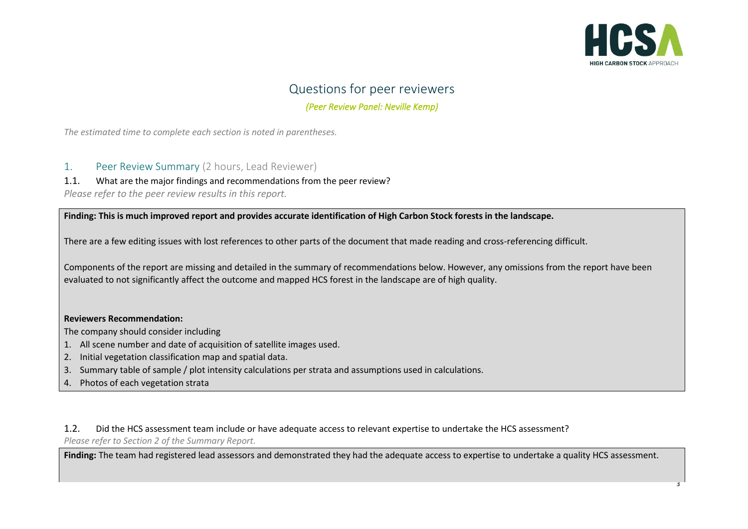

# Questions for peer reviewers *(Peer Review Panel: Neville Kemp)*

*The estimated time to complete each section is noted in parentheses.*

- 1. Peer Review Summary (2 hours, Lead Reviewer)
- 1.1. What are the major findings and recommendations from the peer review?

*Please refer to the peer review results in this report.*

**Finding: This is much improved report and provides accurate identification of High Carbon Stock forests in the landscape.**

There are a few editing issues with lost references to other parts of the document that made reading and cross-referencing difficult.

Components of the report are missing and detailed in the summary of recommendations below. However, any omissions from the report have been evaluated to not significantly affect the outcome and mapped HCS forest in the landscape are of high quality.

#### **Reviewers Recommendation:**

The company should consider including

- 1. All scene number and date of acquisition of satellite images used.
- 2. Initial vegetation classification map and spatial data.
- 3. Summary table of sample / plot intensity calculations per strata and assumptions used in calculations.
- 4. Photos of each vegetation strata

1.2. Did the HCS assessment team include or have adequate access to relevant expertise to undertake the HCS assessment? *Please refer to Section 2 of the Summary Report.*

Finding: The team had registered lead assessors and demonstrated they had the adequate access to expertise to undertake a quality HCS assessment.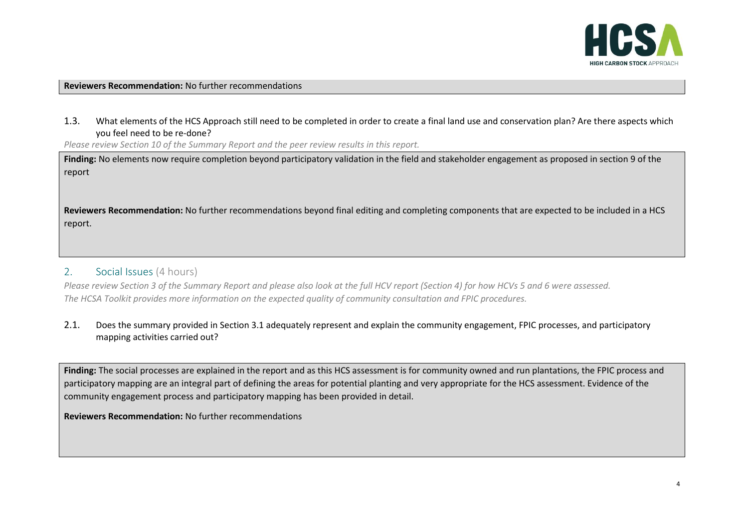

#### **Reviewers Recommendation:** No further recommendations

1.3. What elements of the HCS Approach still need to be completed in order to create a final land use and conservation plan? Are there aspects which you feel need to be re-done?

*Please review Section 10 of the Summary Report and the peer review results in this report.*

**Finding:** No elements now require completion beyond participatory validation in the field and stakeholder engagement as proposed in section 9 of the report

**Reviewers Recommendation:** No further recommendations beyond final editing and completing components that are expected to be included in a HCS report.

## 2. Social Issues (4 hours)

*Please review Section 3 of the Summary Report and please also look at the full HCV report (Section 4) for how HCVs 5 and 6 were assessed. The HCSA Toolkit provides more information on the expected quality of community consultation and FPIC procedures.*

#### 2.1. Does the summary provided in Section 3.1 adequately represent and explain the community engagement, FPIC processes, and participatory mapping activities carried out?

**Finding:** The social processes are explained in the report and as this HCS assessment is for community owned and run plantations, the FPIC process and participatory mapping are an integral part of defining the areas for potential planting and very appropriate for the HCS assessment. Evidence of the community engagement process and participatory mapping has been provided in detail.

**Reviewers Recommendation:** No further recommendations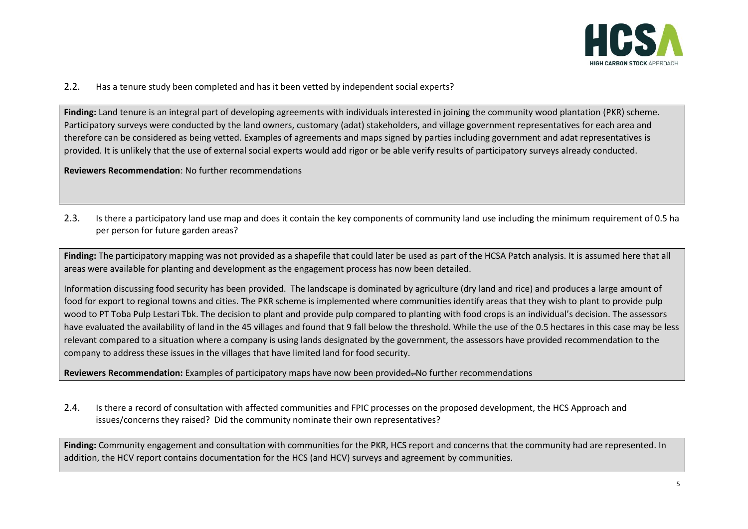

2.2. Has a tenure study been completed and has it been vetted by independent social experts?

**Finding:** Land tenure is an integral part of developing agreements with individuals interested in joining the community wood plantation (PKR) scheme. Participatory surveys were conducted by the land owners, customary (adat) stakeholders, and village government representatives for each area and therefore can be considered as being vetted. Examples of agreements and maps signed by parties including government and adat representatives is provided. It is unlikely that the use of external social experts would add rigor or be able verify results of participatory surveys already conducted.

**Reviewers Recommendation**: No further recommendations

2.3. Is there a participatory land use map and does it contain the key components of community land use including the minimum requirement of 0.5 ha per person for future garden areas?

**Finding:** The participatory mapping was not provided as a shapefile that could later be used as part of the HCSA Patch analysis. It is assumed here that all areas were available for planting and development as the engagement process has now been detailed.

Information discussing food security has been provided. The landscape is dominated by agriculture (dry land and rice) and produces a large amount of food for export to regional towns and cities. The PKR scheme is implemented where communities identify areas that they wish to plant to provide pulp wood to PT Toba Pulp Lestari Tbk. The decision to plant and provide pulp compared to planting with food crops is an individual's decision. The assessors have evaluated the availability of land in the 45 villages and found that 9 fall below the threshold. While the use of the 0.5 hectares in this case may be less relevant compared to a situation where a company is using lands designated by the government, the assessors have provided recommendation to the company to address these issues in the villages that have limited land for food security.

**Reviewers Recommendation:** Examples of participatory maps have now been provided. No further recommendations

2.4. Is there a record of consultation with affected communities and FPIC processes on the proposed development, the HCS Approach and issues/concerns they raised? Did the community nominate their own representatives?

**Finding:** Community engagement and consultation with communities for the PKR, HCS report and concerns that the community had are represented. In addition, the HCV report contains documentation for the HCS (and HCV) surveys and agreement by communities.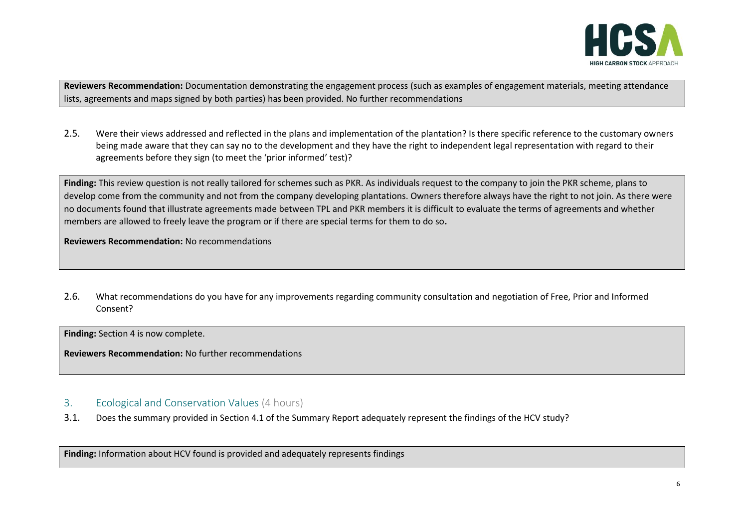

**Reviewers Recommendation:** Documentation demonstrating the engagement process (such as examples of engagement materials, meeting attendance lists, agreements and maps signed by both parties) has been provided. No further recommendations

2.5. Were their views addressed and reflected in the plans and implementation of the plantation? Is there specific reference to the customary owners being made aware that they can say no to the development and they have the right to independent legal representation with regard to their agreements before they sign (to meet the 'prior informed' test)?

**Finding:** This review question is not really tailored for schemes such as PKR. As individuals request to the company to join the PKR scheme, plans to develop come from the community and not from the company developing plantations. Owners therefore always have the right to not join. As there were no documents found that illustrate agreements made between TPL and PKR members it is difficult to evaluate the terms of agreements and whether members are allowed to freely leave the program or if there are special terms for them to do so**.** 

**Reviewers Recommendation:** No recommendations

2.6. What recommendations do you have for any improvements regarding community consultation and negotiation of Free, Prior and Informed Consent?

**Finding:** Section 4 is now complete.

**Reviewers Recommendation:** No further recommendations

## 3. Ecological and Conservation Values (4 hours)

3.1. Does the summary provided in Section 4.1 of the Summary Report adequately represent the findings of the HCV study?

**Finding:** Information about HCV found is provided and adequately represents findings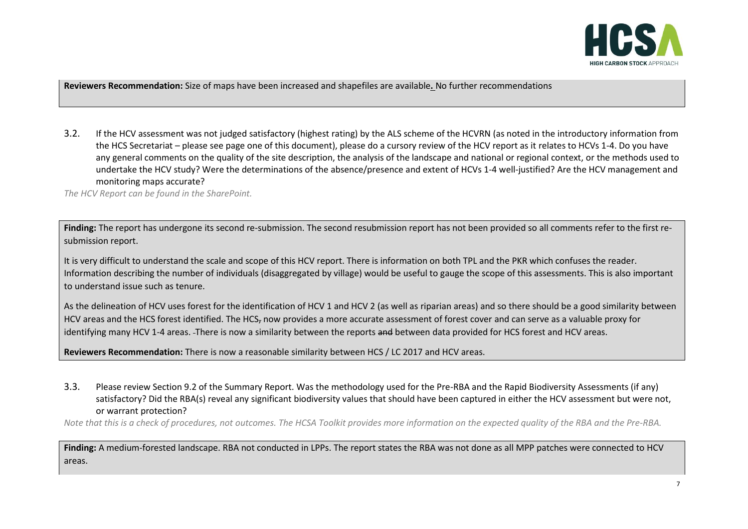

**Reviewers Recommendation:** Size of maps have been increased and shapefiles are available**.** No further recommendations

3.2. If the HCV assessment was not judged satisfactory (highest rating) by the ALS scheme of the HCVRN (as noted in the introductory information from the HCS Secretariat – please see page one of this document), please do a cursory review of the HCV report as it relates to HCVs 1-4. Do you have any general comments on the quality of the site description, the analysis of the landscape and national or regional context, or the methods used to undertake the HCV study? Were the determinations of the absence/presence and extent of HCVs 1-4 well-justified? Are the HCV management and monitoring maps accurate?

*The HCV Report can be found in the SharePoint.* 

**Finding:** The report has undergone its second re-submission. The second resubmission report has not been provided so all comments refer to the first resubmission report.

It is very difficult to understand the scale and scope of this HCV report. There is information on both TPL and the PKR which confuses the reader. Information describing the number of individuals (disaggregated by village) would be useful to gauge the scope of this assessments. This is also important to understand issue such as tenure.

As the delineation of HCV uses forest for the identification of HCV 1 and HCV 2 (as well as riparian areas) and so there should be a good similarity between HCV areas and the HCS forest identified. The HCS, now provides a more accurate assessment of forest cover and can serve as a valuable proxy for identifying many HCV 1-4 areas. There is now a similarity between the reports and between data provided for HCS forest and HCV areas.

**Reviewers Recommendation:** There is now a reasonable similarity between HCS / LC 2017 and HCV areas.

3.3. Please review Section 9.2 of the Summary Report. Was the methodology used for the Pre-RBA and the Rapid Biodiversity Assessments (if any) satisfactory? Did the RBA(s) reveal any significant biodiversity values that should have been captured in either the HCV assessment but were not, or warrant protection?

*Note that this is a check of procedures, not outcomes. The HCSA Toolkit provides more information on the expected quality of the RBA and the Pre-RBA.*

**Finding:** A medium-forested landscape. RBA not conducted in LPPs. The report states the RBA was not done as all MPP patches were connected to HCV areas.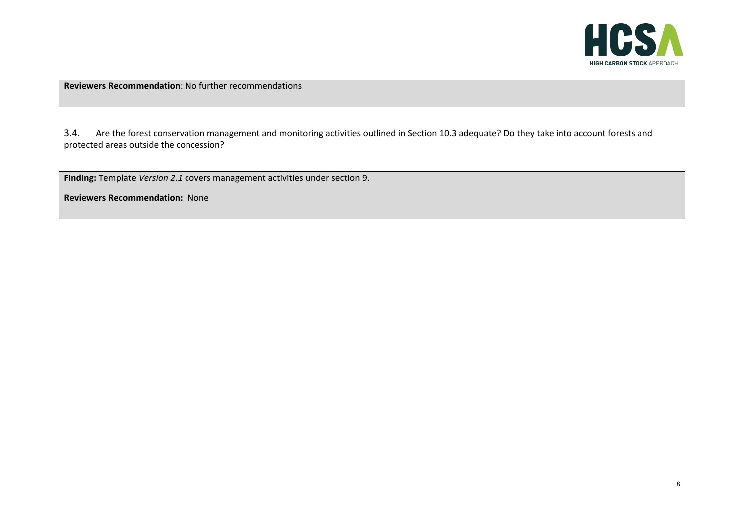

**Reviewers Recommendation**: No further recommendations

3.4. Are the forest conservation management and monitoring activities outlined in Section 10.3 adequate? Do they take into account forests and protected areas outside the concession?

**Finding:** Template *Version 2.1* covers management activities under section 9.

**Reviewers Recommendation:** None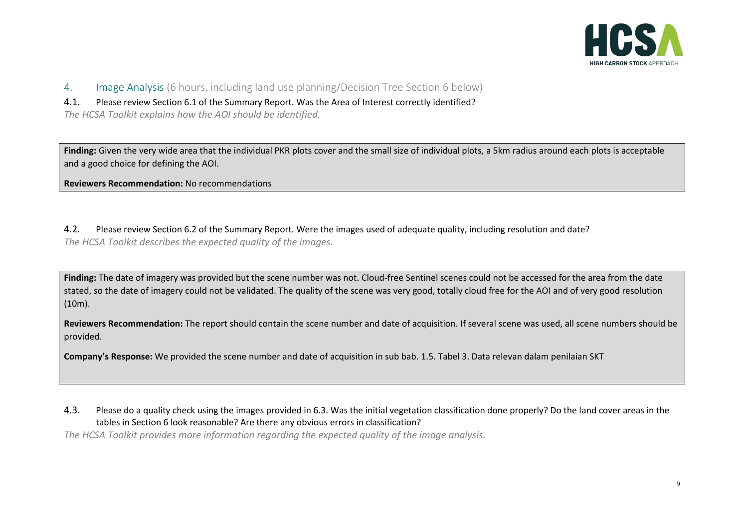

- 4. Image Analysis (6 hours, including land use planning/Decision Tree Section 6 below)
- 4.1. Please review Section 6.1 of the Summary Report. Was the Area of Interest correctly identified?

*The HCSA Toolkit explains how the AOI should be identified.*

**Finding:** Given the very wide area that the individual PKR plots cover and the small size of individual plots, a 5km radius around each plots is acceptable and a good choice for defining the AOI.

**Reviewers Recommendation:** No recommendations

4.2. Please review Section 6.2 of the Summary Report. Were the images used of adequate quality, including resolution and date? *The HCSA Toolkit describes the expected quality of the images.*

**Finding:** The date of imagery was provided but the scene number was not. Cloud-free Sentinel scenes could not be accessed for the area from the date stated, so the date of imagery could not be validated. The quality of the scene was very good, totally cloud free for the AOI and of very good resolution (10m).

**Reviewers Recommendation:** The report should contain the scene number and date of acquisition. If several scene was used, all scene numbers should be provided.

**Company's Response:** We provided the scene number and date of acquisition in sub bab. 1.5. Tabel 3. Data relevan dalam penilaian SKT

4.3. Please do a quality check using the images provided in 6.3. Was the initial vegetation classification done properly? Do the land cover areas in the tables in Section 6 look reasonable? Are there any obvious errors in classification?

*The HCSA Toolkit provides more information regarding the expected quality of the image analysis.*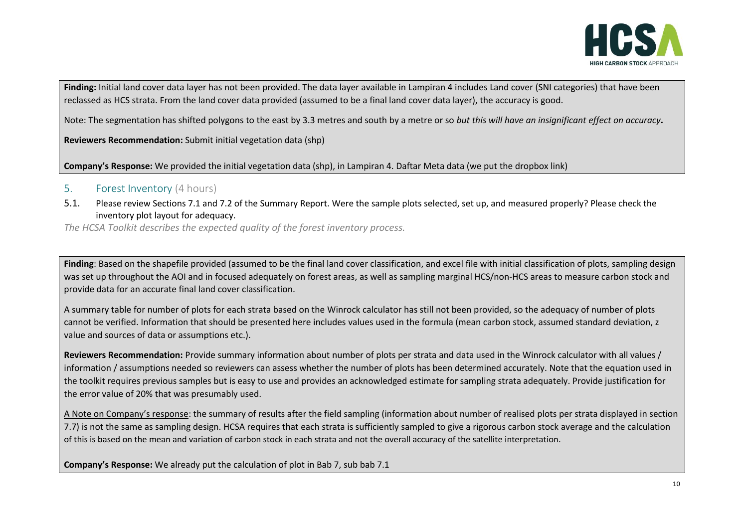

**Finding:** Initial land cover data layer has not been provided. The data layer available in Lampiran 4 includes Land cover (SNI categories) that have been reclassed as HCS strata. From the land cover data provided (assumed to be a final land cover data layer), the accuracy is good.

Note: The segmentation has shifted polygons to the east by 3.3 metres and south by a metre or so *but this will have an insignificant effect on accuracy***.** 

**Reviewers Recommendation:** Submit initial vegetation data (shp)

**Company's Response:** We provided the initial vegetation data (shp), in Lampiran 4. Daftar Meta data (we put the dropbox link)

#### 5. Forest Inventory (4 hours)

5.1. Please review Sections 7.1 and 7.2 of the Summary Report. Were the sample plots selected, set up, and measured properly? Please check the inventory plot layout for adequacy.

*The HCSA Toolkit describes the expected quality of the forest inventory process.*

Finding: Based on the shapefile provided (assumed to be the final land cover classification, and excel file with initial classification of plots, sampling design was set up throughout the AOI and in focused adequately on forest areas, as well as sampling marginal HCS/non-HCS areas to measure carbon stock and provide data for an accurate final land cover classification.

A summary table for number of plots for each strata based on the Winrock calculator has still not been provided, so the adequacy of number of plots cannot be verified. Information that should be presented here includes values used in the formula (mean carbon stock, assumed standard deviation, z value and sources of data or assumptions etc.).

**Reviewers Recommendation:** Provide summary information about number of plots per strata and data used in the Winrock calculator with all values / information / assumptions needed so reviewers can assess whether the number of plots has been determined accurately. Note that the equation used in the toolkit requires previous samples but is easy to use and provides an acknowledged estimate for sampling strata adequately. Provide justification for the error value of 20% that was presumably used.

A Note on Company's response: the summary of results after the field sampling (information about number of realised plots per strata displayed in section 7.7) is not the same as sampling design. HCSA requires that each strata is sufficiently sampled to give a rigorous carbon stock average and the calculation of this is based on the mean and variation of carbon stock in each strata and not the overall accuracy of the satellite interpretation.

**Company's Response:** We already put the calculation of plot in Bab 7, sub bab 7.1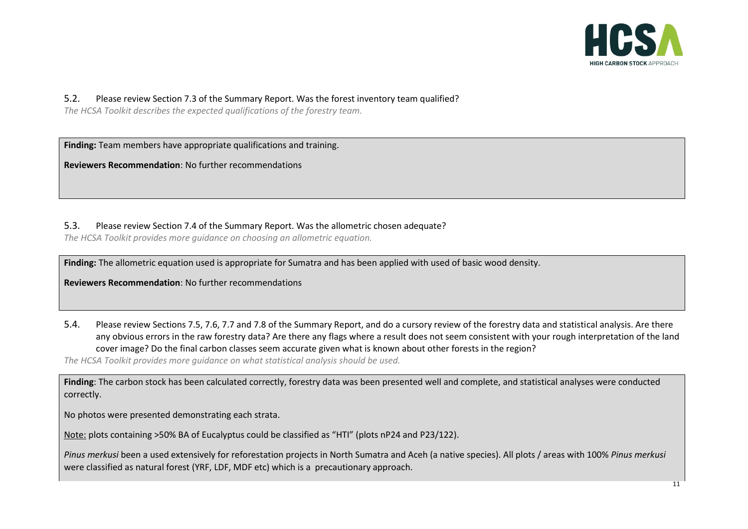

#### 5.2. Please review Section 7.3 of the Summary Report. Was the forest inventory team qualified?

*The HCSA Toolkit describes the expected qualifications of the forestry team.*

**Finding:** Team members have appropriate qualifications and training.

**Reviewers Recommendation**: No further recommendations

#### 5.3. Please review Section 7.4 of the Summary Report. Was the allometric chosen adequate?

*The HCSA Toolkit provides more guidance on choosing an allometric equation.*

**Finding:** The allometric equation used is appropriate for Sumatra and has been applied with used of basic wood density.

**Reviewers Recommendation**: No further recommendations

5.4. Please review Sections 7.5, 7.6, 7.7 and 7.8 of the Summary Report, and do a cursory review of the forestry data and statistical analysis. Are there any obvious errors in the raw forestry data? Are there any flags where a result does not seem consistent with your rough interpretation of the land cover image? Do the final carbon classes seem accurate given what is known about other forests in the region?

*The HCSA Toolkit provides more guidance on what statistical analysis should be used.*

**Finding**: The carbon stock has been calculated correctly, forestry data was been presented well and complete, and statistical analyses were conducted correctly.

No photos were presented demonstrating each strata.

Note: plots containing >50% BA of Eucalyptus could be classified as "HTI" (plots nP24 and P23/122).

*Pinus merkusi* been a used extensively for reforestation projects in North Sumatra and Aceh (a native species). All plots / areas with 100% *Pinus merkusi*  were classified as natural forest (YRF, LDF, MDF etc) which is a precautionary approach.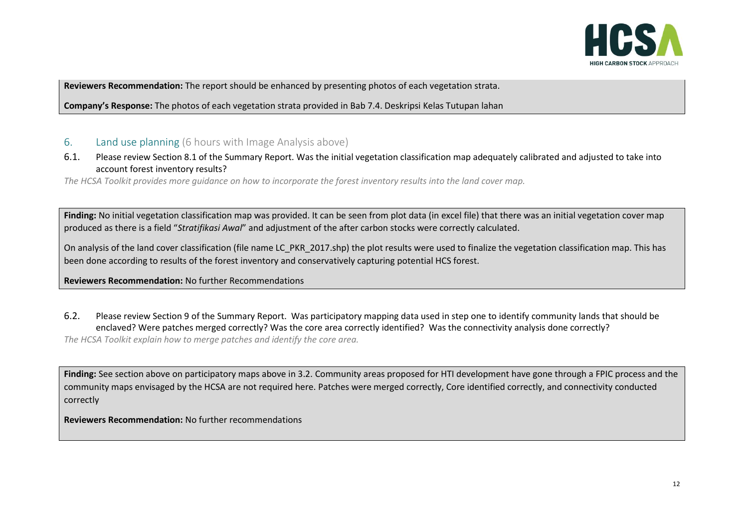

**Reviewers Recommendation:** The report should be enhanced by presenting photos of each vegetation strata.

**Company's Response:** The photos of each vegetation strata provided in Bab 7.4. Deskripsi Kelas Tutupan lahan

#### 6. Land use planning (6 hours with Image Analysis above)

6.1. Please review Section 8.1 of the Summary Report. Was the initial vegetation classification map adequately calibrated and adjusted to take into account forest inventory results?

*The HCSA Toolkit provides more guidance on how to incorporate the forest inventory results into the land cover map.*

**Finding:** No initial vegetation classification map was provided. It can be seen from plot data (in excel file) that there was an initial vegetation cover map produced as there is a field "*Stratifikasi Awal*" and adjustment of the after carbon stocks were correctly calculated.

On analysis of the land cover classification (file name LC\_PKR\_2017.shp) the plot results were used to finalize the vegetation classification map. This has been done according to results of the forest inventory and conservatively capturing potential HCS forest.

**Reviewers Recommendation:** No further Recommendations

6.2. Please review Section 9 of the Summary Report. Was participatory mapping data used in step one to identify community lands that should be enclaved? Were patches merged correctly? Was the core area correctly identified? Was the connectivity analysis done correctly?

*The HCSA Toolkit explain how to merge patches and identify the core area.*

**Finding:** See section above on participatory maps above in 3.2. Community areas proposed for HTI development have gone through a FPIC process and the community maps envisaged by the HCSA are not required here. Patches were merged correctly, Core identified correctly, and connectivity conducted correctly

**Reviewers Recommendation:** No further recommendations